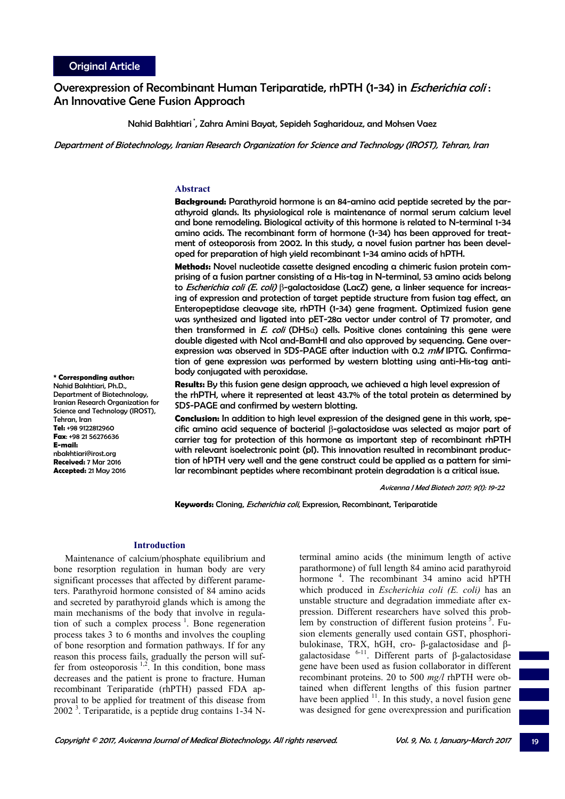# Overexpression of Recombinant Human Teriparatide, rhPTH (1-34) in *Escherichia coli* : An Innovative Gene Fusion Approach

Nahid Bakhtiari \*, Zahra Amini Bayat, Sepideh Sagharidouz, and Mohsen Vaez

Department of Biotechnology, Iranian Research Organization for Science and Technology (IROST), Tehran, Iran

## **Abstract**

**Background:** Parathyroid hormone is an 84-amino acid peptide secreted by the parathyroid glands. Its physiological role is maintenance of normal serum calcium level and bone remodeling. Biological activity of this hormone is related to N-terminal 1-34 amino acids. The recombinant form of hormone (1-34) has been approved for treatment of osteoporosis from 2002. In this study, a novel fusion partner has been developed for preparation of high yield recombinant 1-34 amino acids of hPTH.

**Methods:** Novel nucleotide cassette designed encoding a chimeric fusion protein comprising of a fusion partner consisting of a His-tag in N-terminal, 53 amino acids belong to *Escherichia coli (E. coli)* β-galactosidase (LacZ) gene, a linker sequence for increasing of expression and protection of target peptide structure from fusion tag effect, an Enteropeptidase cleavage site, rhPTH (1-34) gene fragment. Optimized fusion gene was synthesized and ligated into pET-28a vector under control of T7 promoter, and then transformed in E. coli (DH5 $\alpha$ ) cells. Positive clones containing this gene were double digested with NcoI and-BamHI and also approved by sequencing. Gene overexpression was observed in SDS-PAGE after induction with 0.2 mM IPTG. Confirmation of gene expression was performed by western blotting using anti-His-tag antibody conjugated with peroxidase.

**Results:** By this fusion gene design approach, we achieved a high level expression of the rhPTH, where it represented at least 43.7% of the total protein as determined by SDS-PAGE and confirmed by western blotting.

**Conclusion:** In addition to high level expression of the designed gene in this work, specific amino acid sequence of bacterial β-galactosidase was selected as major part of carrier tag for protection of this hormone as important step of recombinant rhPTH with relevant isoelectronic point (pI). This innovation resulted in recombinant production of hPTH very well and the gene construct could be applied as a pattern for similar recombinant peptides where recombinant protein degradation is a critical issue.

Avicenna J Med Biotech 2017; 9(1): 19-22

**Keywords:** Cloning, Escherichia coli, Expression, Recombinant, Teriparatide

# **Introduction**

Maintenance of calcium/phosphate equilibrium and bone resorption regulation in human body are very significant processes that affected by different parameters. Parathyroid hormone consisted of 84 amino acids and secreted by parathyroid glands which is among the main mechanisms of the body that involve in regulation of such a complex process  $<sup>1</sup>$ . Bone regeneration</sup> process takes 3 to 6 months and involves the coupling of bone resorption and formation pathways. If for any reason this process fails, gradually the person will suffer from osteoporosis  $1,2$ . In this condition, bone mass decreases and the patient is prone to fracture. Human recombinant Teriparatide (rhPTH) passed FDA approval to be applied for treatment of this disease from  $2002<sup>3</sup>$ . Teriparatide, is a peptide drug contains 1-34 N-

terminal amino acids (the minimum length of active parathormone) of full length 84 amino acid parathyroid hormone<sup>4</sup>. The recombinant 34 amino acid hPTH which produced in *Escherichia coli (E. coli)* has an unstable structure and degradation immediate after expression. Different researchers have solved this problem by construction of different fusion proteins  $5$ . Fusion elements generally used contain GST, phosphoribulokinase, TRX, hGH, cro- β-galactosidase and βgalactosidase  $6-11$ . Different parts of β-galactosidase gene have been used as fusion collaborator in different recombinant proteins. 20 to 500 *mg/l* rhPTH were obtained when different lengths of this fusion partner have been applied  $11$ . In this study, a novel fusion gene was designed for gene overexpression and purification

**\* Corresponding author:**  Nahid Bakhtiari, Ph.D., Department of Biotechnology, Iranian Research Organization for Science and Technology (IROST), Tehran, Iran **Tel:** +98 9122812960 **Fax**: +98 21 56276636 **E-mail:** nbakhtiari@irost.org **Received:** 7 Mar 2016

**Accepted:** 21 May 2016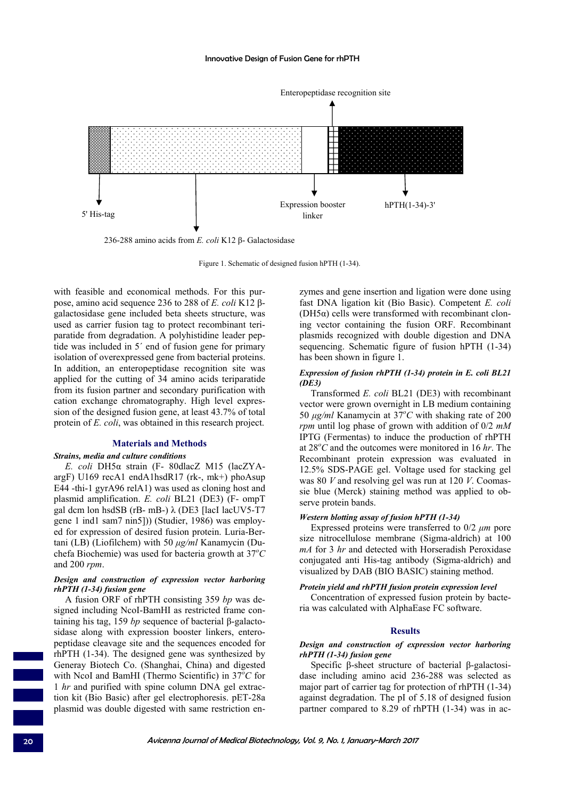

236-288 amino acids from *E. coli* K12 β- Galactosidase

Figure 1. Schematic of designed fusion hPTH (1-34).

with feasible and economical methods. For this purpose, amino acid sequence 236 to 288 of *E. coli* K12 βgalactosidase gene included beta sheets structure, was used as carrier fusion tag to protect recombinant teriparatide from degradation. A polyhistidine leader peptide was included in 5΄ end of fusion gene for primary isolation of overexpressed gene from bacterial proteins. In addition, an enteropeptidase recognition site was applied for the cutting of 34 amino acids teriparatide from its fusion partner and secondary purification with cation exchange chromatography. High level expression of the designed fusion gene, at least 43.7% of total protein of *E. coli*, was obtained in this research project.

#### **Materials and Methods**

#### *Strains, media and culture conditions*

*E. coli* DH5α strain (F- 80dlacZ M15 (lacZYAargF) U169 recA1 endA1hsdR17 (rk-, mk+) phoAsup E44 -thi-1 gyrA96 relA1) was used as cloning host and plasmid amplification. *E. coli* BL21 (DE3) (F- ompT gal dcm lon hsdSB (rB- mB-) λ (DE3 [lacI lacUV5-T7 gene 1 ind1 sam7 nin5])) (Studier, 1986) was employed for expression of desired fusion protein. Luria-Bertani (LB) (Liofilchem) with 50 *μg/ml* Kanamycin (Duchefa Biochemie) was used for bacteria growth at 37*<sup>o</sup> C* and 200 *rpm*.

# *Design and construction of expression vector harboring rhPTH (1-34) fusion gene*

A fusion ORF of rhPTH consisting 359 *bp* was designed including NcoI-BamHI as restricted frame containing his tag, 159 *bp* sequence of bacterial β-galactosidase along with expression booster linkers, enteropeptidase cleavage site and the sequences encoded for rhPTH (1-34). The designed gene was synthesized by Generay Biotech Co. (Shanghai, China) and digested with NcoI and BamHI (Thermo Scientific) in  $37^{\circ}$ C for 1 *hr* and purified with spine column DNA gel extraction kit (Bio Basic) after gel electrophoresis. pET-28a plasmid was double digested with same restriction enzymes and gene insertion and ligation were done using fast DNA ligation kit (Bio Basic). Competent *E. coli* (DH5 $α$ ) cells were transformed with recombinant cloning vector containing the fusion ORF. Recombinant plasmids recognized with double digestion and DNA sequencing. Schematic figure of fusion hPTH (1-34) has been shown in figure 1.

## *Expression of fusion rhPTH (1-34) protein in E. coli BL21 (DE3)*

Transformed *E. coli* BL21 (DE3) with recombinant vector were grown overnight in LB medium containing 50  $\mu$ g/ml Kanamycin at 37<sup>o</sup>C with shaking rate of 200 *rpm* until log phase of grown with addition of 0/2 *mM* IPTG (Fermentas) to induce the production of rhPTH at 28*<sup>o</sup> C* and the outcomes were monitored in 16 *hr*. The Recombinant protein expression was evaluated in 12.5% SDS-PAGE gel. Voltage used for stacking gel was 80 *V* and resolving gel was run at 120 *V*. Coomassie blue (Merck) staining method was applied to observe protein bands.

## *Western blotting assay of fusion hPTH (1-34)*

Expressed proteins were transferred to 0/2 *μm* pore size nitrocellulose membrane (Sigma-aldrich) at 100 *mA* for 3 *hr* and detected with Horseradish Peroxidase conjugated anti His-tag antibody (Sigma-aldrich) and visualized by DAB (BIO BASIC) staining method.

# *Protein yield and rhPTH fusion protein expression level*  Concentration of expressed fusion protein by bacteria was calculated with AlphaEase FC software.

#### **Results**

# *Design and construction of expression vector harboring rhPTH (1-34) fusion gene*

Specific β-sheet structure of bacterial β-galactosidase including amino acid 236-288 was selected as major part of carrier tag for protection of rhPTH (1-34) against degradation. The pI of 5.18 of designed fusion partner compared to 8.29 of rhPTH (1-34) was in ac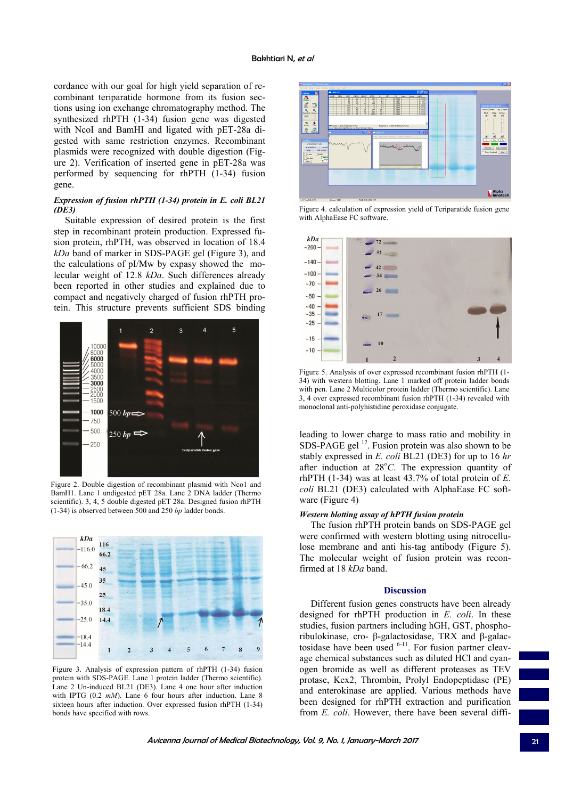cordance with our goal for high yield separation of recombinant teriparatide hormone from its fusion sections using ion exchange chromatography method. The synthesized rhPTH (1-34) fusion gene was digested with NcoI and BamHI and ligated with pET-28a digested with same restriction enzymes. Recombinant plasmids were recognized with double digestion (Figure 2). Verification of inserted gene in pET-28a was performed by sequencing for rhPTH (1-34) fusion gene.

# *Expression of fusion rhPTH (1-34) protein in E. coli BL21 (DE3)*

Suitable expression of desired protein is the first step in recombinant protein production. Expressed fusion protein, rhPTH, was observed in location of 18.4 *kDa* band of marker in SDS-PAGE gel (Figure 3), and the calculations of pI/Mw by expasy showed the molecular weight of 12.8 *kDa*. Such differences already been reported in other studies and explained due to compact and negatively charged of fusion rhPTH protein. This structure prevents sufficient SDS binding



Figure 2. Double digestion of recombinant plasmid with Nco1 and BamH1. Lane 1 undigested pET 28a. Lane 2 DNA ladder (Thermo scientific). 3, 4, 5 double digested pET 28a. Designed fusion rhPTH (1-34) is observed between 500 and 250 *bp* ladder bonds.



Figure 3. Analysis of expression pattern of rhPTH (1-34) fusion protein with SDS-PAGE. Lane 1 protein ladder (Thermo scientific). Lane 2 Un-induced BL21 (DE3). Lane 4 one hour after induction with IPTG (0.2 *mM*). Lane 6 four hours after induction. Lane 8 sixteen hours after induction. Over expressed fusion rhPTH (1-34) bonds have specified with rows.



Figure 4. calculation of expression yield of Teriparatide fusion gene with AlphaEase FC software.



Figure 5. Analysis of over expressed recombinant fusion rhPTH (1- 34) with western blotting. Lane 1 marked off protein ladder bonds with pen. Lane 2 Multicolor protein ladder (Thermo scientific). Lane 3, 4 over expressed recombinant fusion rhPTH (1-34) revealed with monoclonal anti-polyhistidine peroxidase conjugate.

leading to lower charge to mass ratio and mobility in SDS-PAGE gel<sup>12</sup>. Fusion protein was also shown to be stably expressed in *E. coli* BL21 (DE3) for up to 16 *hr* after induction at 28°C. The expression quantity of rhPTH (1-34) was at least 43.7% of total protein of *E. coli* BL21 (DE3) calculated with AlphaEase FC software (Figure 4)

# *Western blotting assay of hPTH fusion protein*

The fusion rhPTH protein bands on SDS-PAGE gel were confirmed with western blotting using nitrocellulose membrane and anti his-tag antibody (Figure 5). The molecular weight of fusion protein was reconfirmed at 18 *kDa* band.

### **Discussion**

Different fusion genes constructs have been already designed for rhPTH production in *E. coli*. In these studies, fusion partners including hGH, GST, phosphoribulokinase, cro- β-galactosidase, TRX and β-galactosidase have been used  $6-11$ . For fusion partner cleavage chemical substances such as diluted HCl and cyanogen bromide as well as different proteases as TEV protase, Kex2, Thrombin, Prolyl Endopeptidase (PE) and enterokinase are applied. Various methods have been designed for rhPTH extraction and purification from *E. coli*. However, there have been several diffi